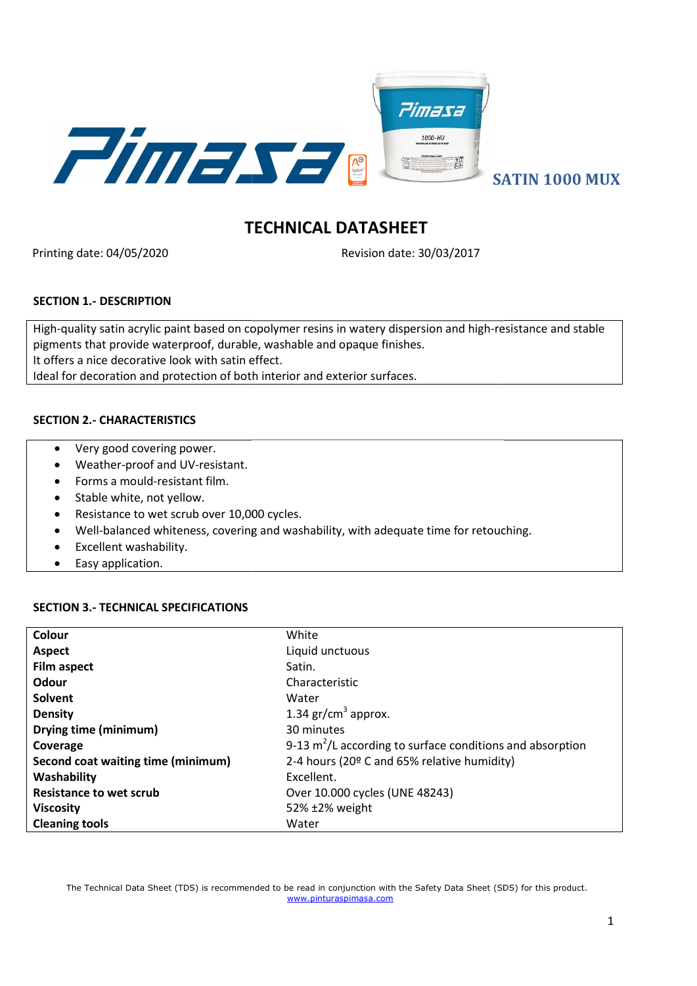

# TECHNICAL DATASHEET

Printing date: 04/05/2020

Revision date: 30/03/2017

# SECTION 1.- DESCRIPTION

High-quality satin acrylic paint based on copolymer resins in watery dispersion and high-resistance and stable pigments that provide waterproof, durable, washable and opaque finishes. It offers a nice decorative look with satin effect. Ideal for decoration and protection of both interior and exterior surfaces. e decorative look with satin effect.<br>Valiancy and protection of both interior and exterior surfaces.<br>THARACTERISTICS<br>good covering power.<br>Ther-proof and UV-resistant.<br>Sa mould-resistant film.<br>Evhite, not yellow.<br>Janced to

# SECTION 2.- CHARACTERISTICS

- Very good covering power.
- Weather-proof and UV-resistant.
- Forms a mould-resistant film.
- Stable white, not yellow.
- Resistance to wet scrub over 10,000 cycles.
- Well-balanced whiteness, covering and washability, with adequate time for retouching.
- Excellent washability.
- Easy application.

# SECTION 3.- TECHNICAL SPECIFICATIONS

| Colour                             | White                                                       |
|------------------------------------|-------------------------------------------------------------|
| Aspect                             | Liquid unctuous                                             |
| <b>Film aspect</b>                 | Satin.                                                      |
| Odour                              | Characteristic                                              |
| Solvent                            | Water                                                       |
| <b>Density</b>                     | 1.34 $gr/cm3$ approx.                                       |
| Drying time (minimum)              | 30 minutes                                                  |
| Coverage                           | 9-13 $m^2/L$ according to surface conditions and absorption |
| Second coat waiting time (minimum) | 2-4 hours (20º C and 65% relative humidity)                 |
| Washability                        | Excellent.                                                  |
| <b>Resistance to wet scrub</b>     | Over 10.000 cycles (UNE 48243)                              |
| <b>Viscosity</b>                   | 52% ±2% weight                                              |
| <b>Cleaning tools</b>              | Water                                                       |

The Technical Data Sheet (TDS) is recommended to be read in conjunction with the Safety Data Sheet (SDS) for this product. www.pinturaspimasa.com